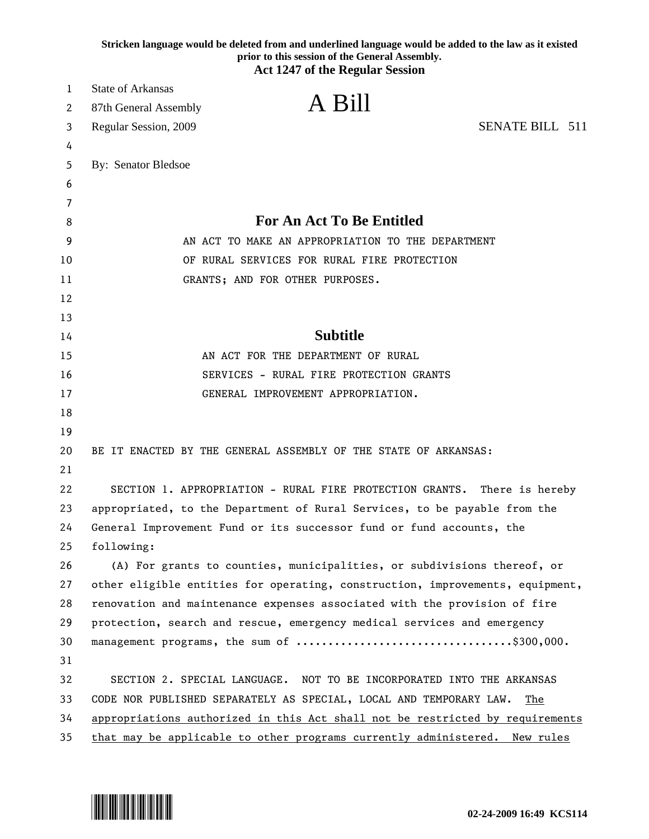|        | Stricken language would be deleted from and underlined language would be added to the law as it existed<br>prior to this session of the General Assembly. |
|--------|-----------------------------------------------------------------------------------------------------------------------------------------------------------|
|        | <b>Act 1247 of the Regular Session</b>                                                                                                                    |
| 1      | <b>State of Arkansas</b><br>A Bill                                                                                                                        |
| 2      | 87th General Assembly                                                                                                                                     |
| 3      | SENATE BILL 511<br>Regular Session, 2009                                                                                                                  |
| 4      |                                                                                                                                                           |
| 5      | By: Senator Bledsoe                                                                                                                                       |
| 6      |                                                                                                                                                           |
| 7<br>8 | <b>For An Act To Be Entitled</b>                                                                                                                          |
| 9      | AN ACT TO MAKE AN APPROPRIATION TO THE DEPARTMENT                                                                                                         |
| 10     | OF RURAL SERVICES FOR RURAL FIRE PROTECTION                                                                                                               |
| 11     | GRANTS; AND FOR OTHER PURPOSES.                                                                                                                           |
| 12     |                                                                                                                                                           |
| 13     |                                                                                                                                                           |
| 14     | <b>Subtitle</b>                                                                                                                                           |
| 15     | AN ACT FOR THE DEPARTMENT OF RURAL                                                                                                                        |
| 16     | SERVICES - RURAL FIRE PROTECTION GRANTS                                                                                                                   |
| 17     | GENERAL IMPROVEMENT APPROPRIATION.                                                                                                                        |
| 18     |                                                                                                                                                           |
| 19     |                                                                                                                                                           |
| 20     | BE IT ENACTED BY THE GENERAL ASSEMBLY OF THE STATE OF ARKANSAS:                                                                                           |
| 21     |                                                                                                                                                           |
| 22     | SECTION 1. APPROPRIATION - RURAL FIRE PROTECTION GRANTS. There is hereby                                                                                  |
| 23     | appropriated, to the Department of Rural Services, to be payable from the                                                                                 |
| 24     | General Improvement Fund or its successor fund or fund accounts, the                                                                                      |
| 25     | following:                                                                                                                                                |
| 26     | (A) For grants to counties, municipalities, or subdivisions thereof, or                                                                                   |
| 27     | other eligible entities for operating, construction, improvements, equipment,                                                                             |
| 28     | renovation and maintenance expenses associated with the provision of fire                                                                                 |
| 29     | protection, search and rescue, emergency medical services and emergency                                                                                   |
| 30     |                                                                                                                                                           |
| 31     |                                                                                                                                                           |
| 32     | SECTION 2. SPECIAL LANGUAGE. NOT TO BE INCORPORATED INTO THE ARKANSAS                                                                                     |
| 33     | CODE NOR PUBLISHED SEPARATELY AS SPECIAL, LOCAL AND TEMPORARY LAW.<br>The                                                                                 |
| 34     | appropriations authorized in this Act shall not be restricted by requirements                                                                             |
| 35     | that may be applicable to other programs currently administered. New rules                                                                                |

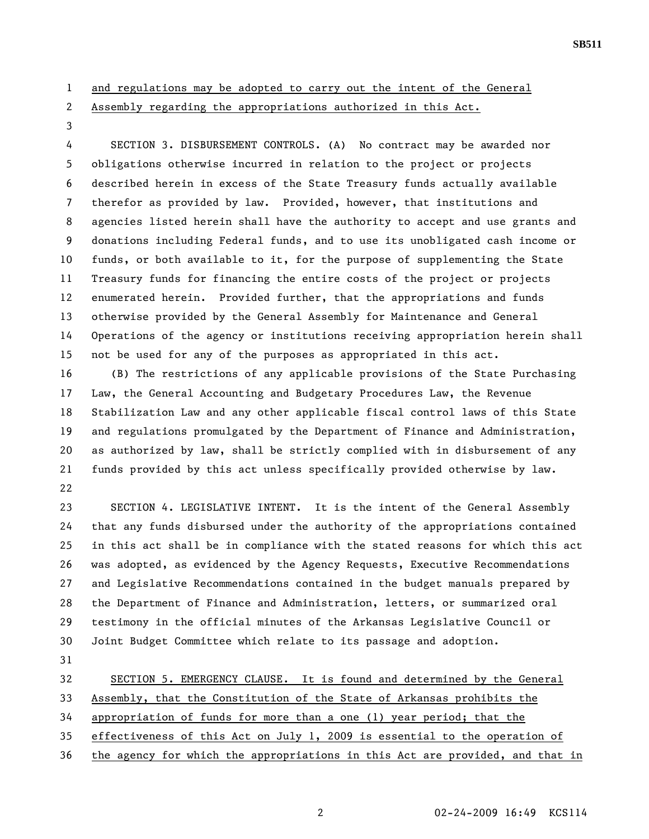1 and regulations may be adopted to carry out the intent of the General

2 Assembly regarding the appropriations authorized in this Act.

3

4 SECTION 3. DISBURSEMENT CONTROLS. (A) No contract may be awarded nor 5 obligations otherwise incurred in relation to the project or projects 6 described herein in excess of the State Treasury funds actually available 7 therefor as provided by law. Provided, however, that institutions and 8 agencies listed herein shall have the authority to accept and use grants and 9 donations including Federal funds, and to use its unobligated cash income or 10 funds, or both available to it, for the purpose of supplementing the State 11 Treasury funds for financing the entire costs of the project or projects 12 enumerated herein. Provided further, that the appropriations and funds 13 otherwise provided by the General Assembly for Maintenance and General 14 Operations of the agency or institutions receiving appropriation herein shall 15 not be used for any of the purposes as appropriated in this act.

16 (B) The restrictions of any applicable provisions of the State Purchasing 17 Law, the General Accounting and Budgetary Procedures Law, the Revenue 18 Stabilization Law and any other applicable fiscal control laws of this State 19 and regulations promulgated by the Department of Finance and Administration, 20 as authorized by law, shall be strictly complied with in disbursement of any 21 funds provided by this act unless specifically provided otherwise by law. 22

23 SECTION 4. LEGISLATIVE INTENT. It is the intent of the General Assembly 24 that any funds disbursed under the authority of the appropriations contained 25 in this act shall be in compliance with the stated reasons for which this act 26 was adopted, as evidenced by the Agency Requests, Executive Recommendations 27 and Legislative Recommendations contained in the budget manuals prepared by 28 the Department of Finance and Administration, letters, or summarized oral 29 testimony in the official minutes of the Arkansas Legislative Council or 30 Joint Budget Committee which relate to its passage and adoption.

31

32 SECTION 5. EMERGENCY CLAUSE. It is found and determined by the General

33 Assembly, that the Constitution of the State of Arkansas prohibits the

34 appropriation of funds for more than a one (1) year period; that the

35 effectiveness of this Act on July 1, 2009 is essential to the operation of

36 the agency for which the appropriations in this Act are provided, and that in